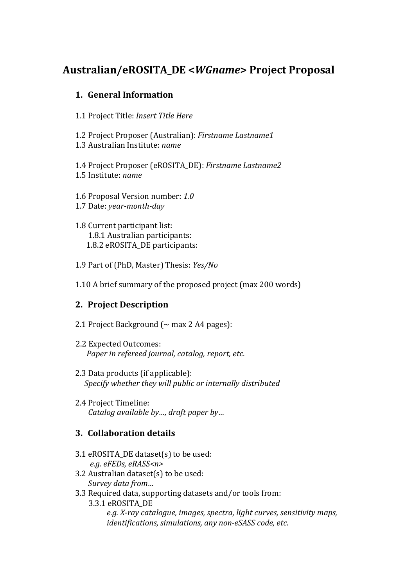# **Australian/eROSITA\_DE <***WGname***> Project Proposal**

### **1. General Information**

- 1.1 Project Title: *Insert Title Here*
- 1.2 Project Proposer (Australian): *Firstname Lastname1* 1.3 Australian Institute: *name*

1.4 Project Proposer (eROSITA\_DE): *Firstname Lastname2* 1.5 Institute: *name*

1.6 Proposal Version number: *1.0* 1.7 Date: *year-month-day* 

1.8 Current participant list: 1.8.1 Australian participants: 1.8.2 eROSITA\_DE participants:

- 1.9 Part of (PhD, Master) Thesis: *Yes/No*
- 1.10 A brief summary of the proposed project (max 200 words)

#### **2. Project Description**

- 2.1 Project Background ( $\sim$  max 2 A4 pages):
- 2.2 Expected Outcomes:  *Paper in refereed journal, catalog, report, etc*.
- 2.3 Data products (if applicable):  *Specify whether they will public or internally distributed*
- 2.4 Project Timeline: *Catalog available by…, draft paper by…*

## **3. Collaboration details**

- 3.1 eROSITA DE dataset(s) to be used:  *e.g. eFEDs, eRASS<n>*
- 3.2 Australian dataset(s) to be used: *Survey data from…*
- 3.3 Required data, supporting datasets and/or tools from:
	- 3.3.1 eROSITA\_DE

 *e.g. X-ray catalogue, images, spectra, light curves, sensitivity maps, identifications, simulations, any non-eSASS code, etc.*